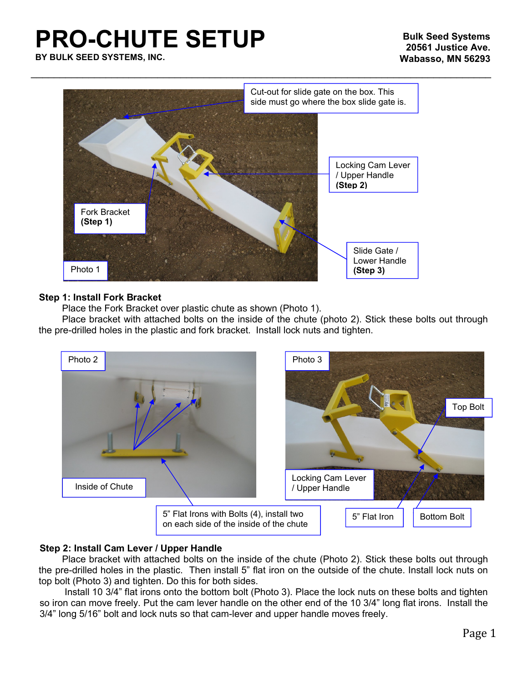# **PRO-CHUTE SETUP**



### **Step 1: Install Fork Bracket**

Place the Fork Bracket over plastic chute as shown (Photo 1).

Place bracket with attached bolts on the inside of the chute (photo 2). Stick these bolts out through the pre-drilled holes in the plastic and fork bracket. Install lock nuts and tighten.



## **Step 2: Install Cam Lever / Upper Handle**

Place bracket with attached bolts on the inside of the chute (Photo 2). Stick these bolts out through the pre-drilled holes in the plastic. Then install 5" flat iron on the outside of the chute. Install lock nuts on top bolt (Photo 3) and tighten. Do this for both sides.

Install 10 3/4" flat irons onto the bottom bolt (Photo 3). Place the lock nuts on these bolts and tighten so iron can move freely. Put the cam lever handle on the other end of the 10 3/4" long flat irons. Install the 3/4" long 5/16" bolt and lock nuts so that cam-lever and upper handle moves freely.